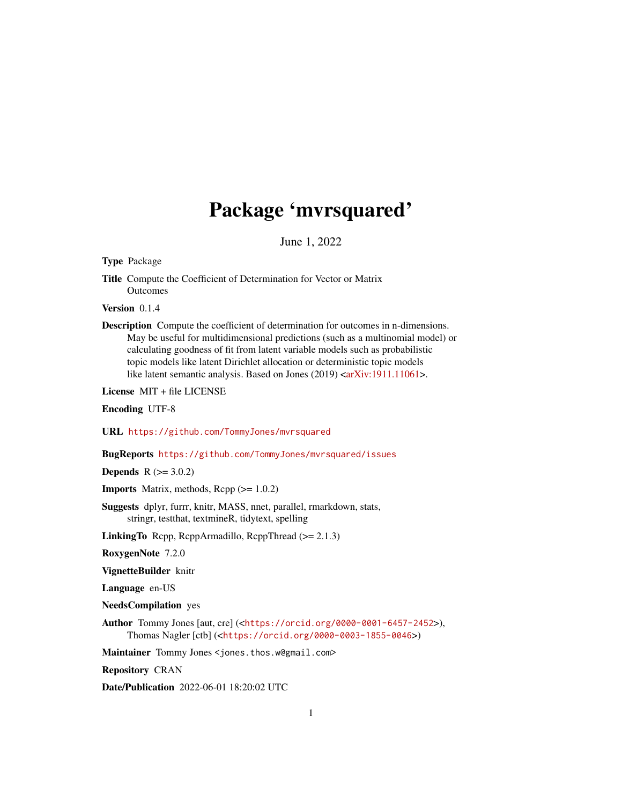## Package 'mvrsquared'

June 1, 2022

<span id="page-0-0"></span>Type Package

Title Compute the Coefficient of Determination for Vector or Matrix **Outcomes** 

Version 0.1.4

Description Compute the coefficient of determination for outcomes in n-dimensions. May be useful for multidimensional predictions (such as a multinomial model) or calculating goodness of fit from latent variable models such as probabilistic topic models like latent Dirichlet allocation or deterministic topic models like latent semantic analysis. Based on Jones (2019) [<arXiv:1911.11061>](https://arxiv.org/abs/1911.11061).

License MIT + file LICENSE

Encoding UTF-8

URL <https://github.com/TommyJones/mvrsquared>

BugReports <https://github.com/TommyJones/mvrsquared/issues>

**Depends**  $R (= 3.0.2)$ 

**Imports** Matrix, methods,  $\text{Rcpp} (> = 1.0.2)$ 

Suggests dplyr, furrr, knitr, MASS, nnet, parallel, rmarkdown, stats, stringr, testthat, textmineR, tidytext, spelling

**LinkingTo** Rcpp, RcppArmadillo, RcppThread  $(>= 2.1.3)$ 

RoxygenNote 7.2.0

VignetteBuilder knitr

Language en-US

NeedsCompilation yes

Author Tommy Jones [aut, cre] (<<https://orcid.org/0000-0001-6457-2452>>), Thomas Nagler [ctb] (<<https://orcid.org/0000-0003-1855-0046>>)

Maintainer Tommy Jones <jones.thos.w@gmail.com>

Repository CRAN

Date/Publication 2022-06-01 18:20:02 UTC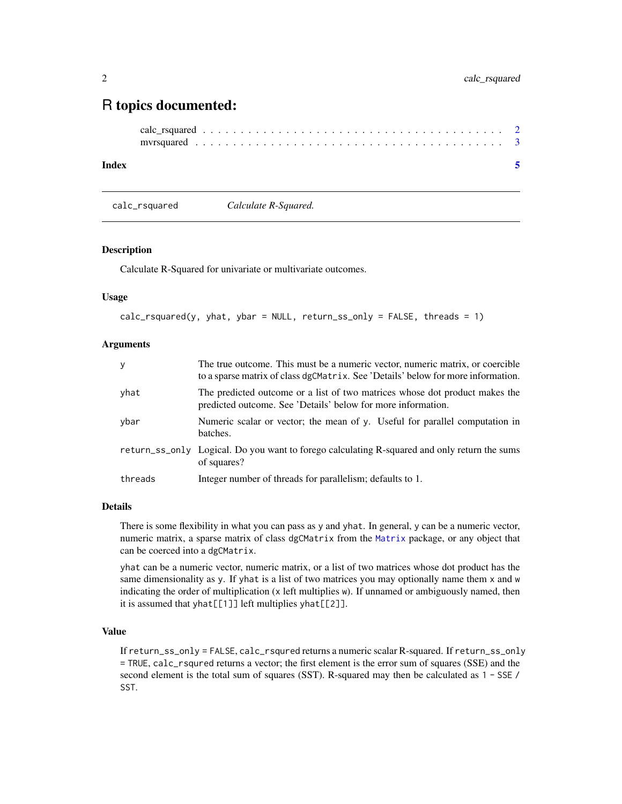### <span id="page-1-0"></span>R topics documented:

#### **Index** [5](#page-4-0). The second state of the second state of the second state of the second state of the second state of the second state of the second state of the second state of the second state of the second state of the second

calc\_rsquared *Calculate R-Squared.*

#### Description

Calculate R-Squared for univariate or multivariate outcomes.

#### Usage

```
calc_rrsquared(y, yhat, ybar = NULL, return_ss_only = FALSE, threads = 1)
```
#### Arguments

| y       | The true outcome. This must be a numeric vector, numeric matrix, or coercible<br>to a sparse matrix of class dgCMatrix. See 'Details' below for more information. |
|---------|-------------------------------------------------------------------------------------------------------------------------------------------------------------------|
| yhat    | The predicted outcome or a list of two matrices whose dot product makes the<br>predicted outcome. See 'Details' below for more information.                       |
| ybar    | Numeric scalar or vector; the mean of y. Useful for parallel computation in<br>batches.                                                                           |
|         | return_ss_only Logical. Do you want to forego calculating R-squared and only return the sums<br>of squares?                                                       |
| threads | Integer number of threads for parallelism; defaults to 1.                                                                                                         |

#### Details

There is some flexibility in what you can pass as y and yhat. In general, y can be a numeric vector, numeric matrix, a sparse matrix of class dgCMatrix from the [Matrix](#page-0-0) package, or any object that can be coerced into a dgCMatrix.

yhat can be a numeric vector, numeric matrix, or a list of two matrices whose dot product has the same dimensionality as y. If yhat is a list of two matrices you may optionally name them x and w indicating the order of multiplication (x left multiplies w). If unnamed or ambiguously named, then it is assumed that yhat[[1]] left multiplies yhat[[2]].

#### Value

If return\_ss\_only = FALSE, calc\_rsqured returns a numeric scalar R-squared. If return\_ss\_only = TRUE, calc\_rsqured returns a vector; the first element is the error sum of squares (SSE) and the second element is the total sum of squares (SST). R-squared may then be calculated as 1 - SSE / SST.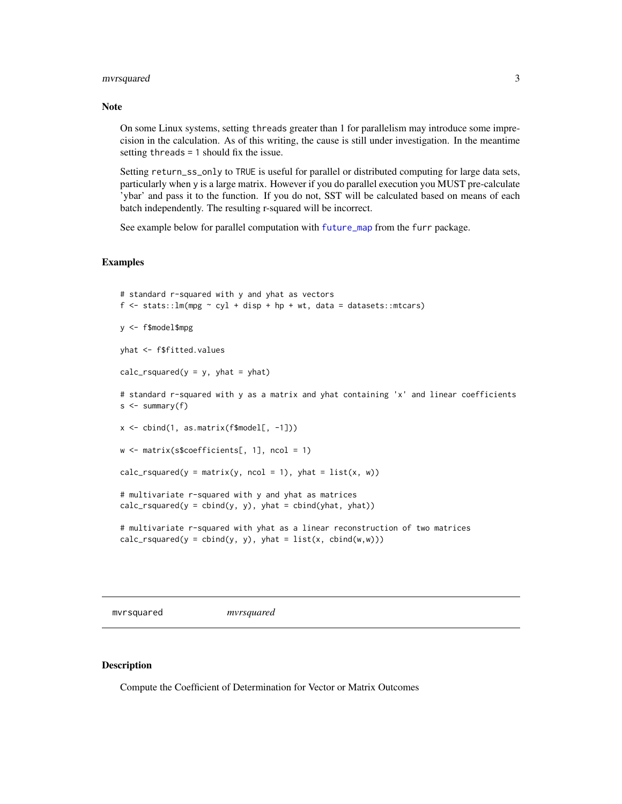#### <span id="page-2-0"></span>mvrsquared 3

#### Note

On some Linux systems, setting threads greater than 1 for parallelism may introduce some imprecision in the calculation. As of this writing, the cause is still under investigation. In the meantime setting threads = 1 should fix the issue.

Setting return\_ss\_only to TRUE is useful for parallel or distributed computing for large data sets, particularly when y is a large matrix. However if you do parallel execution you MUST pre-calculate 'ybar' and pass it to the function. If you do not, SST will be calculated based on means of each batch independently. The resulting r-squared will be incorrect.

See example below for parallel computation with [future\\_map](#page-0-0) from the furr package.

#### Examples

```
# standard r-squared with y and yhat as vectors
f \le stats::lm(mpg \sim cyl + disp + hp + wt, data = datasets::mtcars)
y <- f$model$mpg
yhat <- f$fitted.values
calc_rsquared(y = y, yhat = yhat)
# standard r-squared with y as a matrix and yhat containing 'x' and linear coefficients
s <- summary(f)
x \le cbind(1, as.matrix(f$model[, -1]))
w <- matrix(s$coefficients[, 1], ncol = 1)
calc_rsquared(y = matrix(y, ncol = 1), yhat = list(x, w))
# multivariate r-squared with y and yhat as matrices
calc_rsquared(y = cbind(y, y), yhat = cbind(yhat, yhat))
# multivariate r-squared with yhat as a linear reconstruction of two matrices
calc_rsquared(y = cbind(y, y), yhat = list(x, cbind(w,w)))
```
mvrsquared *mvrsquared*

#### Description

Compute the Coefficient of Determination for Vector or Matrix Outcomes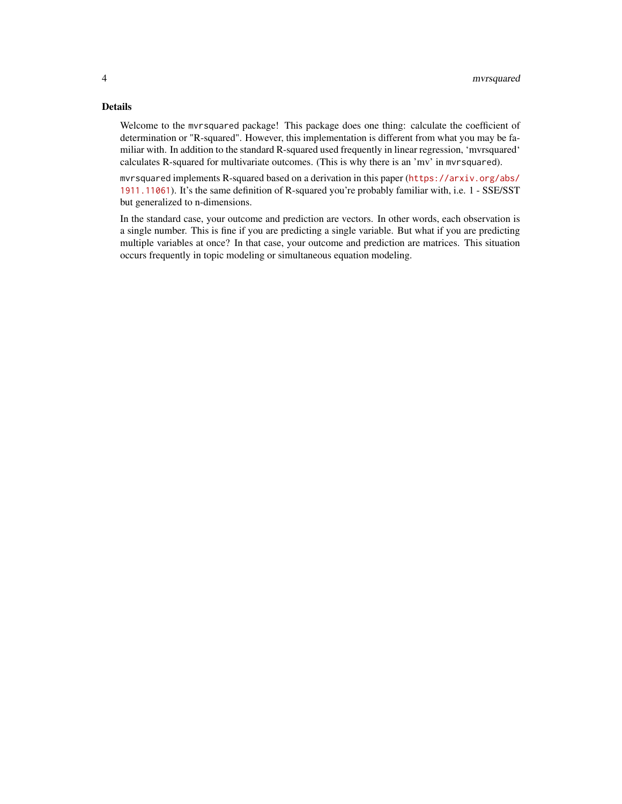#### Details

Welcome to the mvrsquared package! This package does one thing: calculate the coefficient of determination or "R-squared". However, this implementation is different from what you may be familiar with. In addition to the standard R-squared used frequently in linear regression, 'mvrsquared' calculates R-squared for multivariate outcomes. (This is why there is an 'mv' in mvrsquared).

mvrsquared implements R-squared based on a derivation in this paper ([https://arxiv.org/abs/](https://arxiv.org/abs/1911.11061) [1911.11061](https://arxiv.org/abs/1911.11061)). It's the same definition of R-squared you're probably familiar with, i.e. 1 - SSE/SST but generalized to n-dimensions.

In the standard case, your outcome and prediction are vectors. In other words, each observation is a single number. This is fine if you are predicting a single variable. But what if you are predicting multiple variables at once? In that case, your outcome and prediction are matrices. This situation occurs frequently in topic modeling or simultaneous equation modeling.